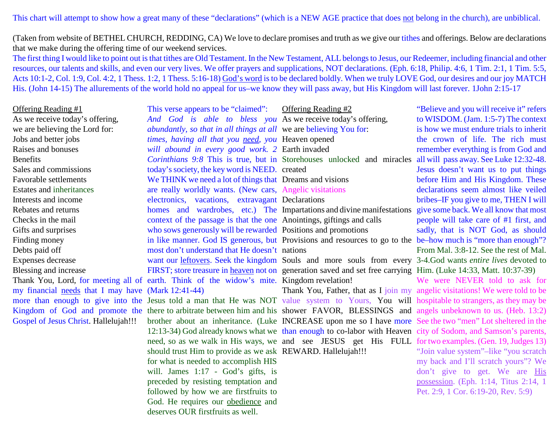This chart will attempt to show how a great many of these "declarations" (which is a NEW AGE practice that does not belong in the church), are unbiblical.

(Taken from website of BETHEL CHURCH, REDDING, CA) We love to declare promises and truth as we give our tithes and offerings. Below are declarationsthat we make during the offering time of our weekend services.

 The first thing I would like to point out is that tithes are Old Testament. In the New Testament, ALL belongs to Jesus, our Redeemer, including financial and other resources, our talents and skills, and even our very lives. We offer prayers and supplications, NOT declarations. (Eph. 6:18, Philip. 4:6, 1 Tim. 2:1, 1 Tim. 5:5,Acts 10:1-2, Col. 1:9, Col. 4:2, 1 Thess. 1:2, 1 Thess. 5:16-18) God's word is to be declared boldly. When we truly LOVE God, our desires and our joy MATCH His. (John 14-15) The allurements of the world hold no appeal for us–we know they will pass away, but His Kingdom will last forever. 1John 2:15-17

## Offering Reading #1

 As we receive today's offering,we are believing the Lord for:Jobs and better jobs Raises and bonusesBenefits Sales and commissionsFavorable settlements Estates and inheritancesInterests and income Rebates and returns Checks in the mailGifts and surprisesFinding money Debts paid off Expenses decrease Blessing and increasemy financial needs that I may have (Mark 12:41-44) Gospel of Jesus Christ. Hallelujah!!!

Thank You, Lord, for meeting all of earth. Think of the widow's mite. Kingdom revelation! more than enough to give into the Jesus told a man that He was NOT value system to Yours, You will hospitable to strangers, as they may be Kingdom of God and promote the there to arbitrate between him and his shower FAVOR, BLESSINGS and angels unbeknown to us. (Heb. 13:2) *times, having all that you <u>need</u>, you Heaven* opened *will abound in every good work. 2* Earth invaded *Corinthians 9:8* This is true, but in Storehouses unlocked and miracles all will pass away. See Luke 12:32-48.today's society, the key word is NEED. created We THINK we need a lot of things that Dreams and visions are really worldly wants. (New cars, Angelic visitationselectronics, vacations, extravagant Declarations homes and wardrobes, etc.) The Impartations and divine manifestations context of the passage is that the one Anointings, giftings and calls who sows generously will be rewarded Positions and promotions in like manner. God IS generous, but Provisions and resources to go to the be-how much is "more than enough"? most don't understand that He doesn't nations want our leftovers. Seek the kingdom Souls and more souls from every 3-4.God wants *entire lives* devoted to FIRST; store treasure in <u>heaven</u> not on generation saved and set free carrying Him. (Luke 14:33, Matt. 10:37-39) brother about an inheritance. (Luke INCREASE upon me so I have more See the two "men" Lot sheltered in the 12:13-34) God already knows what we than enough to co-labor with Heaven city of Sodom, and Samson's parents,need, so as we walk in His ways, we and see JESUS get His FULL for two examples. (Gen. 19, Judges 13) should trust Him to provide as we ask REWARD. Hallelujah!!! for what is needed to accomplish HIS will. James 1:17 - God's gifts, is preceded by resisting temptation and followed by how we are firstfruits toGod. He requires our <u>obedience</u> and deserves OUR firstfruits as well.

This verse appears to be "claimed":

## *And God is able to bless you* As we receive today's offering,*abundantly, so that in all things at all* we are believing You for: Offering Reading #2

"Believe and you will receive it" refers to WISDOM. (Jam. 1:5-7) The contextis how we must endure trials to inheritthe crown of life. The rich mustremember everything is from God andJesus doesn't want us to put things before Him and His Kingdom. These declarations seem almost like veiled bribes–IF you give to me, THEN I willgive some back. We all know that mostpeople will take care of #1 first, and sadly, that is NOT God, as shouldFrom Mal. 3:8-12. See the rest of Mal.

Thank You, Father, that as I join my angelic visitations! We were told to be We were NEVER told to ask for "Join value system"–like "you scratch my back and I'll scratch yours"? Wedon't give to get. We are **His**  possession. (Eph. 1:14, Titus 2:14, 1Pet. 2:9, 1 Cor. 6:19-20, Rev. 5:9)